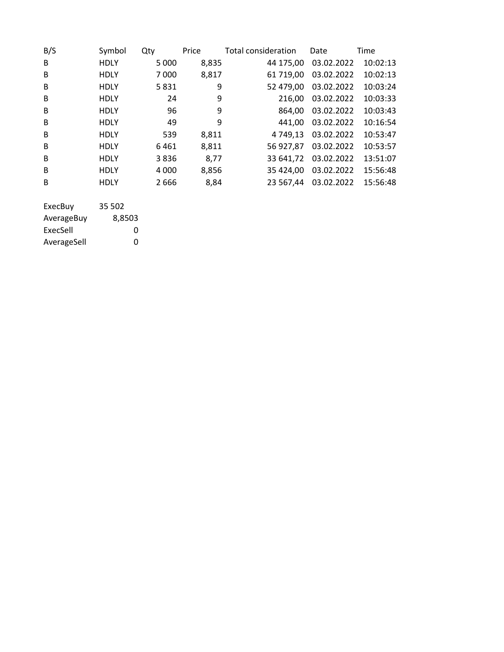| B/S     | Symbol      | Qty     | Price | Total consideration | Date       | Time     |
|---------|-------------|---------|-------|---------------------|------------|----------|
| B       | <b>HDLY</b> | 5 0 0 0 | 8,835 | 44 175,00           | 03.02.2022 | 10:02:13 |
| B       | <b>HDLY</b> | 7000    | 8,817 | 61 719,00           | 03.02.2022 | 10:02:13 |
| B       | <b>HDLY</b> | 5831    | 9     | 52 479,00           | 03.02.2022 | 10:03:24 |
| B       | HDLY        | 24      | 9     | 216,00              | 03.02.2022 | 10:03:33 |
| B       | <b>HDLY</b> | 96      | 9     | 864,00              | 03.02.2022 | 10:03:43 |
| B       | <b>HDLY</b> | 49      | 9     | 441.00              | 03.02.2022 | 10:16:54 |
| B       | <b>HDLY</b> | 539     | 8,811 | 4 749,13            | 03.02.2022 | 10:53:47 |
| B       | <b>HDLY</b> | 6461    | 8,811 | 56 927,87           | 03.02.2022 | 10:53:57 |
| B       | <b>HDLY</b> | 3836    | 8,77  | 33 641,72           | 03.02.2022 | 13:51:07 |
| B       | <b>HDLY</b> | 4 0 0 0 | 8,856 | 35 424,00           | 03.02.2022 | 15:56:48 |
| B       | <b>HDLY</b> | 2666    | 8,84  | 23 567.44           | 03.02.2022 | 15:56:48 |
|         |             |         |       |                     |            |          |
| ExecBuy | 35 502      |         |       |                     |            |          |

| -------     |        |
|-------------|--------|
| AverageBuy  | 8,8503 |
| ExecSell    | O      |
| AverageSell | O      |
|             |        |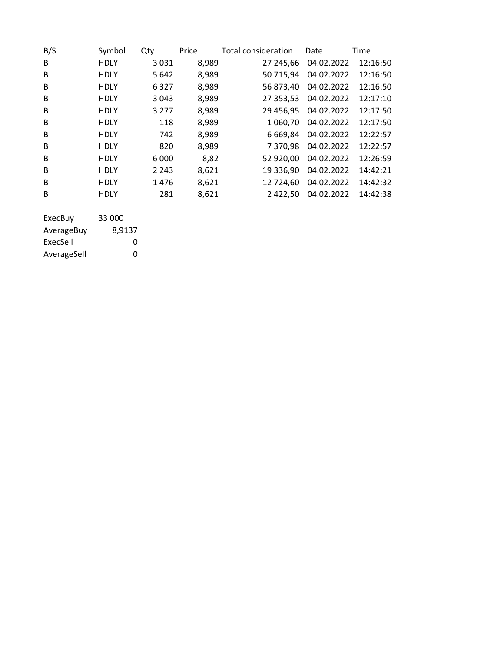| B/S | Symbol      | Qty     | Price | <b>Total consideration</b> | Date       | Time     |
|-----|-------------|---------|-------|----------------------------|------------|----------|
| B   | <b>HDLY</b> | 3031    | 8,989 | 27 245,66                  | 04.02.2022 | 12:16:50 |
| B   | <b>HDLY</b> | 5642    | 8,989 | 50 715,94                  | 04.02.2022 | 12:16:50 |
| B   | <b>HDLY</b> | 6327    | 8,989 | 56 873,40                  | 04.02.2022 | 12:16:50 |
| B   | <b>HDLY</b> | 3043    | 8,989 | 27 353,53                  | 04.02.2022 | 12:17:10 |
| B   | <b>HDLY</b> | 3 2 7 7 | 8,989 | 29 456,95                  | 04.02.2022 | 12:17:50 |
| B   | <b>HDLY</b> | 118     | 8,989 | 1 060,70                   | 04.02.2022 | 12:17:50 |
| B   | <b>HDLY</b> | 742     | 8,989 | 6 6 6 9 , 8 4              | 04.02.2022 | 12:22:57 |
| B   | <b>HDLY</b> | 820     | 8,989 | 7 370,98                   | 04.02.2022 | 12:22:57 |
| B   | <b>HDLY</b> | 6 0 0 0 | 8,82  | 52 920,00                  | 04.02.2022 | 12:26:59 |
| B   | <b>HDLY</b> | 2 2 4 3 | 8,621 | 19 336,90                  | 04.02.2022 | 14:42:21 |
| B   | <b>HDLY</b> | 1476    | 8,621 | 12 724.60                  | 04.02.2022 | 14:42:32 |
| B   | <b>HDLY</b> | 281     | 8,621 | 2 4 2 2 , 5 0              | 04.02.2022 | 14:42:38 |
|     |             |         |       |                            |            |          |

| ExecBuy     | 33 000 |
|-------------|--------|
| AverageBuy  | 8,9137 |
| ExecSell    | O      |
| AverageSell | O      |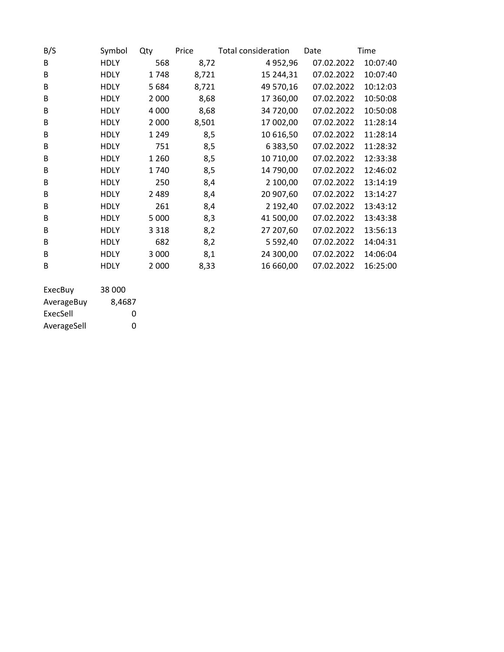| B/S | Symbol      | Qty     | Price | <b>Total consideration</b> | Date       | Time     |
|-----|-------------|---------|-------|----------------------------|------------|----------|
| B   | HDLY        | 568     | 8,72  | 4 9 5 2 , 9 6              | 07.02.2022 | 10:07:40 |
| B   | <b>HDLY</b> | 1748    | 8,721 | 15 244,31                  | 07.02.2022 | 10:07:40 |
| B   | <b>HDLY</b> | 5684    | 8,721 | 49 570,16                  | 07.02.2022 | 10:12:03 |
| B   | <b>HDLY</b> | 2 0 0 0 | 8,68  | 17 360,00                  | 07.02.2022 | 10:50:08 |
| B   | <b>HDLY</b> | 4 0 0 0 | 8,68  | 34 720,00                  | 07.02.2022 | 10:50:08 |
| B   | <b>HDLY</b> | 2 0 0 0 | 8,501 | 17 002,00                  | 07.02.2022 | 11:28:14 |
| B   | <b>HDLY</b> | 1 2 4 9 | 8,5   | 10 616,50                  | 07.02.2022 | 11:28:14 |
| B   | <b>HDLY</b> | 751     | 8,5   | 6 3 8 3 , 5 0              | 07.02.2022 | 11:28:32 |
| B   | <b>HDLY</b> | 1 2 6 0 | 8,5   | 10 710,00                  | 07.02.2022 | 12:33:38 |
| B   | <b>HDLY</b> | 1740    | 8,5   | 14 790,00                  | 07.02.2022 | 12:46:02 |
| B   | <b>HDLY</b> | 250     | 8,4   | 2 100,00                   | 07.02.2022 | 13:14:19 |
| B   | <b>HDLY</b> | 2489    | 8,4   | 20 907,60                  | 07.02.2022 | 13:14:27 |
| B   | <b>HDLY</b> | 261     | 8,4   | 2 192,40                   | 07.02.2022 | 13:43:12 |
| B   | <b>HDLY</b> | 5 0 0 0 | 8,3   | 41 500,00                  | 07.02.2022 | 13:43:38 |
| B   | <b>HDLY</b> | 3 3 1 8 | 8,2   | 27 207,60                  | 07.02.2022 | 13:56:13 |
| B   | <b>HDLY</b> | 682     | 8,2   | 5 5 9 2,40                 | 07.02.2022 | 14:04:31 |
| B   | <b>HDLY</b> | 3 0 0 0 | 8,1   | 24 300,00                  | 07.02.2022 | 14:06:04 |
| B   | <b>HDLY</b> | 2 0 0 0 | 8,33  | 16 660,00                  | 07.02.2022 | 16:25:00 |
|     |             |         |       |                            |            |          |

| ExecBuy     | 38 000 |
|-------------|--------|
| AverageBuy  | 8.4687 |
| ExecSell    | Ω      |
| AverageSell | Ω      |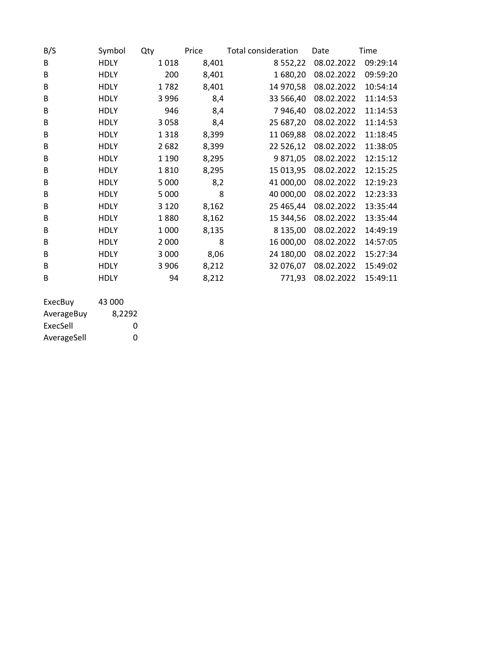| B/S                   | Symbol      | Qty     | Price | <b>Total consideration</b> | Date       | Time     |
|-----------------------|-------------|---------|-------|----------------------------|------------|----------|
| В                     | <b>HDLY</b> | 1018    | 8,401 | 8 5 5 2 , 2 2              | 08.02.2022 | 09:29:14 |
| B                     | <b>HDLY</b> | 200     | 8,401 | 1680,20                    | 08.02.2022 | 09:59:20 |
| B                     | <b>HDLY</b> | 1782    | 8,401 | 14 970,58                  | 08.02.2022 | 10:54:14 |
| B                     | <b>HDLY</b> | 3996    | 8,4   | 33 566,40                  | 08.02.2022 | 11:14:53 |
| B                     | <b>HDLY</b> | 946     | 8,4   | 7946,40                    | 08.02.2022 | 11:14:53 |
| B                     | <b>HDLY</b> | 3058    | 8,4   | 25 687,20                  | 08.02.2022 | 11:14:53 |
| B                     | <b>HDLY</b> | 1318    | 8,399 | 11 069,88                  | 08.02.2022 | 11:18:45 |
| B                     | <b>HDLY</b> | 2682    | 8,399 | 22 526,12                  | 08.02.2022 | 11:38:05 |
| B                     | <b>HDLY</b> | 1 1 9 0 | 8,295 | 9871,05                    | 08.02.2022 | 12:15:12 |
| B                     | <b>HDLY</b> | 1810    | 8,295 | 15 013,95                  | 08.02.2022 | 12:15:25 |
| B                     | <b>HDLY</b> | 5 0 0 0 | 8,2   | 41 000,00                  | 08.02.2022 | 12:19:23 |
| B                     | <b>HDLY</b> | 5 0 0 0 | 8     | 40 000,00                  | 08.02.2022 | 12:23:33 |
| B                     | <b>HDLY</b> | 3 1 2 0 | 8,162 | 25 465,44                  | 08.02.2022 | 13:35:44 |
| B                     | <b>HDLY</b> | 1880    | 8,162 | 15 344,56                  | 08.02.2022 | 13:35:44 |
| B                     | <b>HDLY</b> | 1 0 0 0 | 8,135 | 8 135,00                   | 08.02.2022 | 14:49:19 |
| B                     | <b>HDLY</b> | 2 0 0 0 | 8     | 16 000,00                  | 08.02.2022 | 14:57:05 |
| B                     | <b>HDLY</b> | 3 0 0 0 | 8,06  | 24 180,00                  | 08.02.2022 | 15:27:34 |
| B                     | <b>HDLY</b> | 3 9 0 6 | 8,212 | 32 076,07                  | 08.02.2022 | 15:49:02 |
| B                     | <b>HDLY</b> | 94      | 8,212 | 771,93                     | 08.02.2022 | 15:49:11 |
| $\Gamma$ . $\Gamma$ . | 12.000      |         |       |                            |            |          |

| ExecBuv     | 43 000 |
|-------------|--------|
| AverageBuy  | 8.2292 |
| ExecSell    | O      |
| AverageSell | O      |